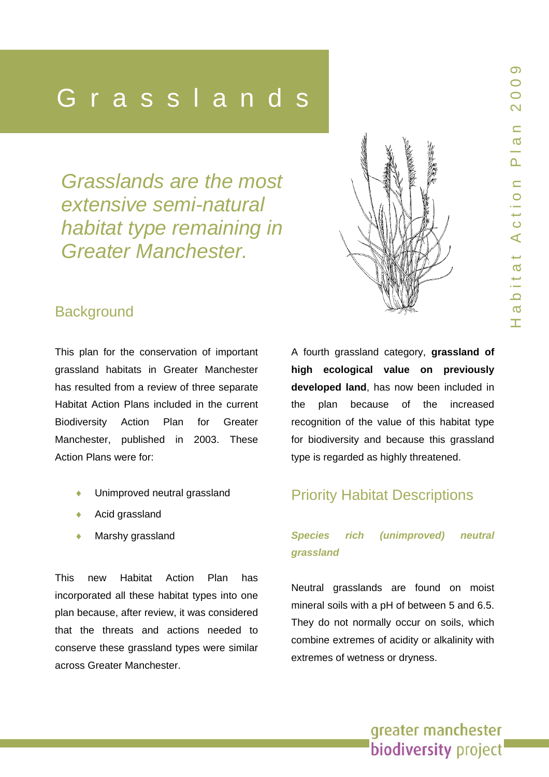Heading Control<br>Heading Control of the Control of the Control of the Control of the Control of the Control of the Control of t<br>Heading Control of the Control of the Control of the Control of the Control of the Control of t

*Grasslands are the most extensive semi-natural habitat type remaining in Greater Manchester.* 



## **Background**

This plan for the conservation of important grassland habitats in Greater Manchester has resulted from a review of three separate Habitat Action Plans included in the current Biodiversity Action Plan for Greater Manchester, published in 2003. These Action Plans were for:

- Unimproved neutral grassland
- Acid grassland
- Marshy grassland

This new Habitat Action Plan has incorporated all these habitat types into one plan because, after review, it was considered that the threats and actions needed to conserve these grassland types were similar across Greater Manchester.

A fourth grassland category, **grassland of high ecological value on previously developed land**, has now been included in the plan because of the increased recognition of the value of this habitat type for biodiversity and because this grassland type is regarded as highly threatened.

## Priority Habitat Descriptions

## *Species rich (unimproved) neutral grassland*

Neutral grasslands are found on moist mineral soils with a pH of between 5 and 6.5. They do not normally occur on soils, which combine extremes of acidity or alkalinity with extremes of wetness or dryness.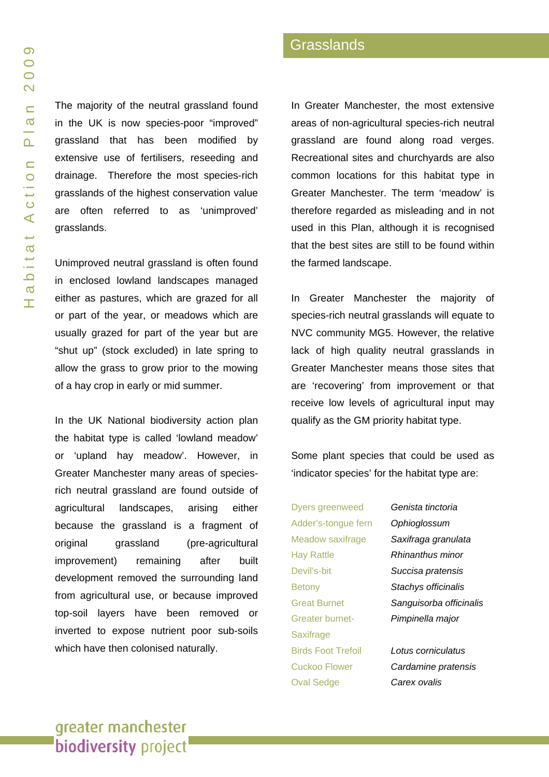The majority of the neutral grassland found in the UK is now species-poor "improved" grassland that has been modified by extensive use of fertilisers, reseeding and drainage. Therefore the most species-rich grasslands of the highest conservation value are often referred to as 'unimproved' grasslands.

Unimproved neutral grassland is often found in enclosed lowland landscapes managed either as pastures, which are grazed for all or part of the year, or meadows which are usually grazed for part of the year but are "shut up" (stock excluded) in late spring to allow the grass to grow prior to the mowing of a hay crop in early or mid summer.

In the UK National biodiversity action plan the habitat type is called 'lowland meadow' or 'upland hay meadow'. However, in Greater Manchester many areas of speciesrich neutral grassland are found outside of agricultural landscapes, arising either because the grassland is a fragment of original grassland (pre-agricultural improvement) remaining after built development removed the surrounding land from agricultural use, or because improved top-soil layers have been removed or inverted to expose nutrient poor sub-soils which have then colonised naturally.

In Greater Manchester, the most extensive areas of non-agricultural species-rich neutral grassland are found along road verges. Recreational sites and churchyards are also common locations for this habitat type in Greater Manchester. The term 'meadow' is therefore regarded as misleading and in not used in this Plan, although it is recognised that the best sites are still to be found within the farmed landscape.

In Greater Manchester the majority of species-rich neutral grasslands will equate to NVC community MG5. However, the relative lack of high quality neutral grasslands in Greater Manchester means those sites that are 'recovering' from improvement or that receive low levels of agricultural input may qualify as the GM priority habitat type.

Some plant species that could be used as 'indicator species' for the habitat type are:

Dyers greenweed *Genista tinctoria* Adder's-tongue fern *Ophioglossum* Hay Rattle *Rhinanthus minor*  Devil's-bit *Succisa pratensis*  Betony *Stachys officinalis*  Greater burnet- *Pimpinella major*  **Saxifrage** Birds Foot Trefoil *Lotus corniculatus* Oval Sedge *Carex ovalis*

Meadow saxifrage *Saxifraga granulata*  Great Burnet *Sanguisorba officinalis*

Cuckoo Flower *Cardamine pratensis*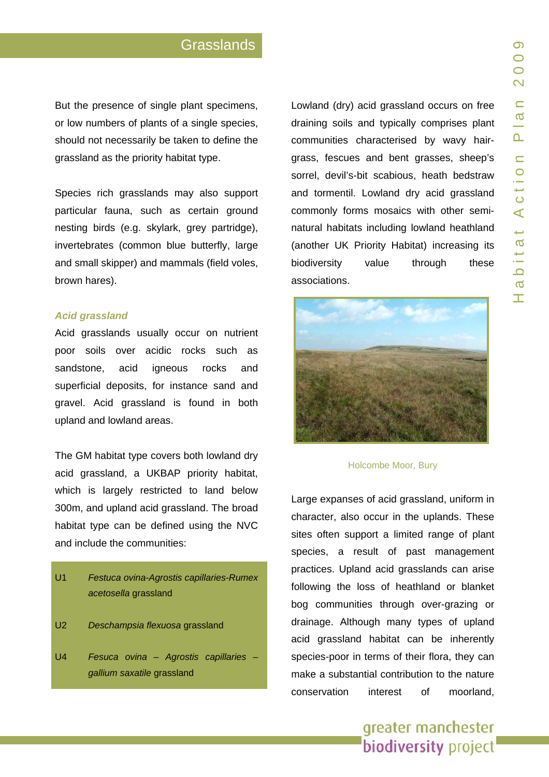But the presence of sin gle plant specimens, or low numbers of p lants of a single species, should not n ecessarily be taken to d efine the grassland a s the priority habitat type.

Species rich grasslands may also support particular fauna, such as certain ground nesting birds (e.g. skylark, grey partridge), invertebrates (common blue butter fly, large and small skipper) and mammals (field voles, brown hares).

#### *Acid grassland*

Acid grasslands usually occur on nutrient poor soils over acidic rocks such a s sandstone, acid igneous rocks and superficia l deposits, for instance sand and gravel. Acid grassland is found in both upland and lowland areas.

The GM habitat type covers both lowland dry acid grassland, a UKBAP priority habitat, which is largely restricted to land below 300m, and upland acid grassland. The broad habitat type can be defined using the NVC and include the commun ities:



- U2 *Deschampsia flexuosa* grassland
- U4 *Fesuca ovina Agrostis capillaries gallium saxatile* grassland

Lowland (dry) acid grassland occur s on fre e draining soils and typically comprises plant communities character ised by wavy hairgrass, fescues and bent grasses, sheep's sorrel, devil's-bit scabious, heath bedstraw and tormentil. Lowland dry acid grassland commonly forms mosaics with other seminatural habitats includin g lowland heathland (another UK Priority Habitat) increasing its biodiversity value through these associations.



#### Hol comb e Moor, Bury

Large expanses of acid grassland, u niform in character, a lso occur in the uplands. These sites often support a limited range of plant species, a result of past management practices. U pland acid grasslands can arise following the loss of heathland or blanket bog communities through over-grazing or drainage. Although many types of upland acid grassland habitat can be inherently species-poor in terms of their flora, they can make a substantial contribution to the nature conservatio interest of moorland.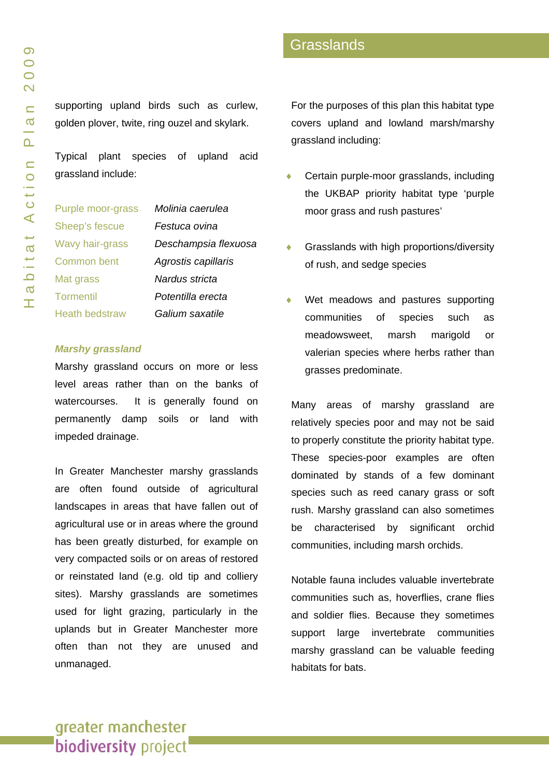supporting upland birds such as curlew, golden plover, twite, ring ouzel and skylark.

Typical plant species of upland acid grassland include:

| Purple moor-grass     | Molinia caerulea     |
|-----------------------|----------------------|
| Sheep's fescue        | Festuca ovina        |
| Wavy hair-grass       | Deschampsia flexuosa |
| <b>Common bent</b>    | Agrostis capillaris  |
| Mat grass             | Nardus stricta       |
| <b>Tormentil</b>      | Potentilla erecta    |
| <b>Heath bedstraw</b> | Galium saxatile      |

#### *Marshy grassland*

Marshy grassland occurs on more or less level areas rather than on the banks of watercourses. It is generally found on permanently damp soils or land with impeded drainage.

In Greater Manchester marshy grasslands are often found outside of agricultural landscapes in areas that have fallen out of agricultural use or in areas where the ground has been greatly disturbed, for example on very compacted soils or on areas of restored or reinstated land (e.g. old tip and colliery sites). Marshy grasslands are sometimes used for light grazing, particularly in the uplands but in Greater Manchester more often than not they are unused and unmanaged.

For the purposes of this plan this habitat type covers upland and lowland marsh/marshy grassland including:

- Certain purple-moor grasslands, including the UKBAP priority habitat type 'purple moor grass and rush pastures'
- Grasslands with high proportions/diversity of rush, and sedge species
- Wet meadows and pastures supporting communities of species such as meadowsweet, marsh marigold or valerian species where herbs rather than grasses predominate.

Many areas of marshy grassland are relatively species poor and may not be said to properly constitute the priority habitat type. These species-poor examples are often dominated by stands of a few dominant species such as reed canary grass or soft rush. Marshy grassland can also sometimes be characterised by significant orchid communities, including marsh orchids.

Notable fauna includes valuable invertebrate communities such as, hoverflies, crane flies and soldier flies. Because they sometimes support large invertebrate communities marshy grassland can be valuable feeding habitats for bats.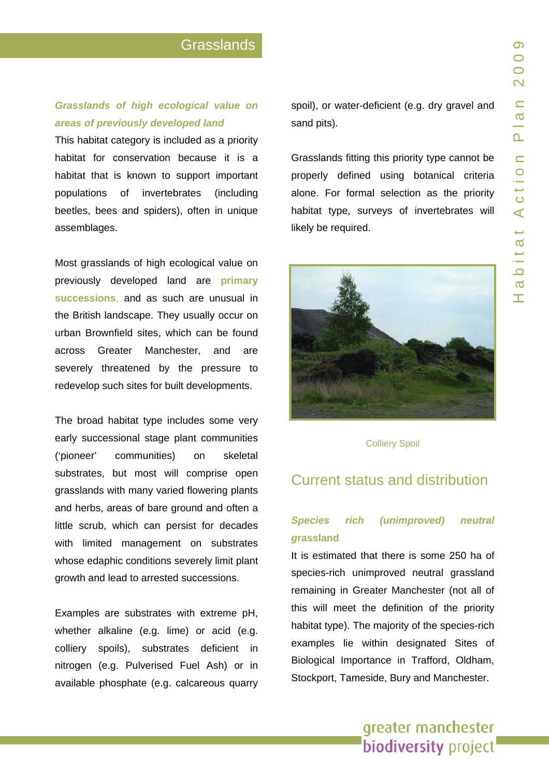## *Grasslands of high ecological value on areas of previously developed land*

This habitat category is included as a priority habitat for conservation because it is a habitat that is known to support important populations of invertebrates (including beetles, bees and spiders), often in unique assemblages.

Most grasslands of high ecological value on previously developed land are **primary successions** , and as such are unusual in the British landscape. They usually occur on urban Brownfield sites, which can be found across Greater Manchester, and are severely threatened by the pressure to redevelop such sites for built develo pments.

The broad habitat type includes some very early successional stage plant communities ('pioneer' communities) o skeletal substrates, but most will comprise open grasslands with many varied flowering plants and herbs, areas of bare ground and often a little scrub, which can persist for decades with limited management on substrates whose edaphic conditions severely limit plant growth and lead to arrested successions.

Exa mples are substrate s with extreme pH, whether alkaline (e.g. lime) or acid (e.g. colliery spoils), substrates deficient i n nitrogen (e. g. Pulverised Fuel Ash) or in available phosphate (e. g. calcareous quarry spoil), or water-deficient (e.g. dry gravel and sand pits).

Grasslands fitting this priority type cannot be properly defined using botanical criteria alone. For formal selection as the priority habitat type, surveys of invertebrates will likely be req uired.



Colliery Spoil

#### Current status and distribution

## *Species rich (unimproved) neutral g***rassland**

It is e stimated that there is some 250 ha o f species-rich unimproved neutral grassland remaining in Greater Manchester (not all of this will meet the definition of the priority habitat type). The majority of the species-rich examples lie within d esignated Sites of Biological I mportance in Trafford, Oldham, Stockport, T ameside, Bury and Manchester.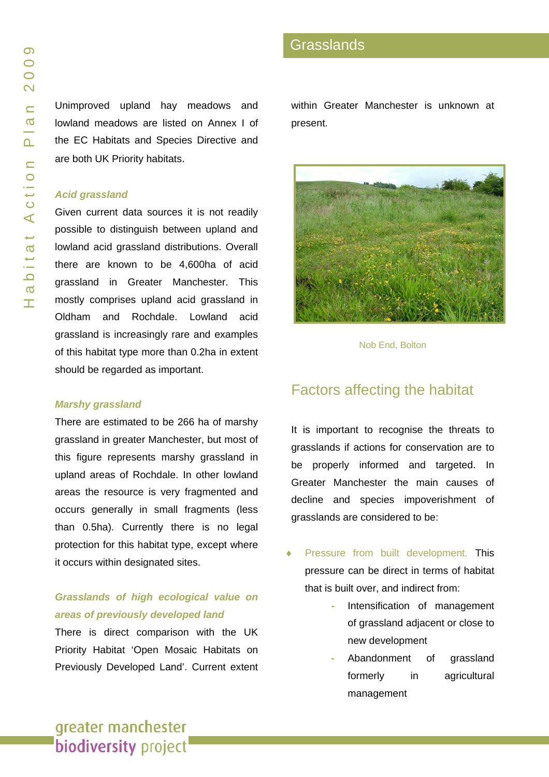Unimproved upland hay meadows and lowland meadows are listed on Annex I of the EC Habitats and Species Directive and are both UK Priority habitats.

#### *Acid grassland*

Given current data sources it is not readily possible to distinguish between upland and lowland acid grassland distributions. Overall there are known to be 4,600ha of acid grassland in Greater Manchester. This mostly comprises upland acid grassland in Oldham and Rochdale. Lowland acid grassland is increasingly rare and examples of this habitat type more than 0.2ha in extent should be regarded as important.

#### *Marshy grassland*

There are estimated to be 266 ha of marshy grassland in greater Manchester, but most of this figure represents marshy grassland in upland areas of Rochdale. In other lowland areas the resource is very fragmented and occurs generally in small fragments (less than 0.5ha). Currently there is no legal protection for this habitat type, except where it occurs within designated sites.

#### *Grasslands of high ecological value on areas of previously developed land*

There is direct comparison with the UK Priority Habitat 'Open Mosaic Habitats on Previously Developed Land'. Current extent within Greater Manchester is unknown at present.



Nob End, Bolton

## Factors affecting the habitat

It is important to recognise the threats to grasslands if actions for conservation are to be properly informed and targeted. In Greater Manchester the main causes of decline and species impoverishment of grasslands are considered to be:

- Pressure from built development. This pressure can be direct in terms of habitat that is built over, and indirect from:
	- Intensification of management of grassland adjacent or close to new development
	- Abandonment of grassland formerly in agricultural management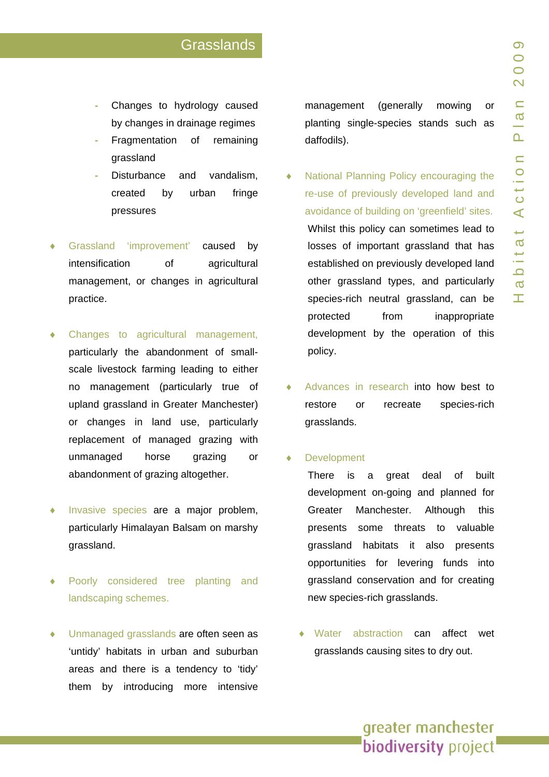- Changes to hydrology caused by changes in drainage regimes
- Fragmentation of remaining grassland
- Disturbance and vandalism, created by urban fringe pressures
- Grassland 'improvement' ment' caused by intensification of agricultural management, or changes in agricultural practice.
- Changes to agricultural management, particularly the abandonment of smallscale livestock farming leading to either no management (particularly tru e of upland grassland in Greater Manchester) or changes in land use, particularly replacement of managed grazing with unmanaged horse grazing or abandonment of grazing altogether.
- ♦ Inv asiv e species are a major problem, particularly Himalayan Balsam on marshy grassland.
- ♦ Poorly considered tre e planting and landscapin g schemes.
- Unmanaged grasslands are often seen as 'untidy' habitats in urban and suburban areas and there is a tendency to 'tidy' them b y introducing more intensive

management (generally mowing or planting sin gle-species stands such a s daffodils).

- National Planning Policy encouraging the re-use of previously developed land and avoidance of building on 'greenfield' sites. Whilst this policy can sometimes lead to losses of important grassland that has established on previously developed land other grassland types, and particularly species-r ich neutral grassland, can be protected from inappropriate development by the operation of this policy.
- ♦ Advances in research into how best t o restore o recreate species-rich grasslands.

#### ♦ Developme nt

There is a great deal of built development on-going and planned for Greater Manchester. Although this presents some threats to valuable grassland habitats it also pre sents opportunitie s for levering funds into grassland conservation and for creating new species-rich grasslands.

♦ Water abstraction can affect wet grasslands causing sites to dry out.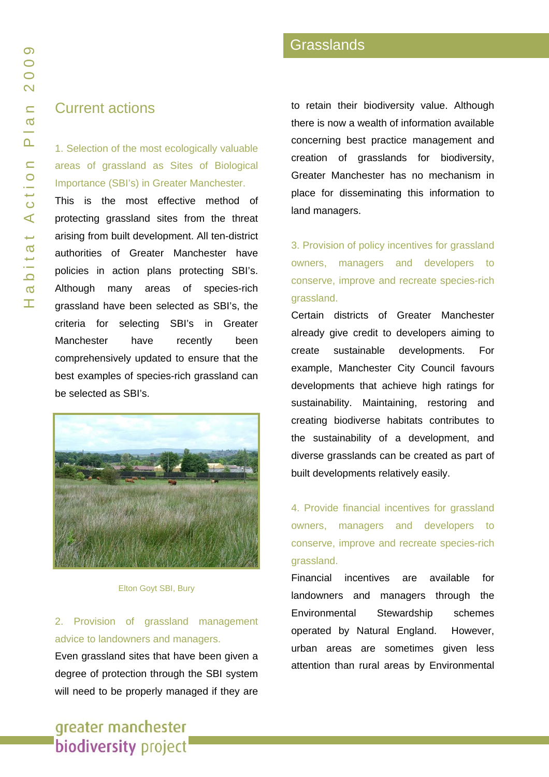#### Current actions

1. Selection of the most ecologically valuable areas of grassland as Sites of Biological Importance (SBI's) in Greater Manchester.

This is the most effective method of protecting grassland sites from the threat arising from built development. All ten-district authorities of Greater Manchester have policies in action plans protecting SBI's. Although many areas of species-rich grassland have been selected as SBI's, the criteria for selecting SBI's in Greater Manchester have recently been comprehensively updated to ensure that the best examples of species-rich grassland can be selected as SBI's.



Elton Goyt SBI, Bury

2. Provision of grassland management advice to landowners and managers.

Even grassland sites that have been given a degree of protection through the SBI system will need to be properly managed if they are to retain their biodiversity value. Although there is now a wealth of information available concerning best practice management and creation of grasslands for biodiversity, Greater Manchester has no mechanism in place for disseminating this information to land managers.

3. Provision of policy incentives for grassland owners, managers and developers to conserve, improve and recreate species-rich grassland.

Certain districts of Greater Manchester already give credit to developers aiming to create sustainable developments. For example, Manchester City Council favours developments that achieve high ratings for sustainability. Maintaining, restoring and creating biodiverse habitats contributes to the sustainability of a development, and diverse grasslands can be created as part of built developments relatively easily.

4. Provide financial incentives for grassland owners, managers and developers to conserve, improve and recreate species-rich grassland.

Financial incentives are available for landowners and managers through the Environmental Stewardship schemes operated by Natural England. However, urban areas are sometimes given less attention than rural areas by Environmental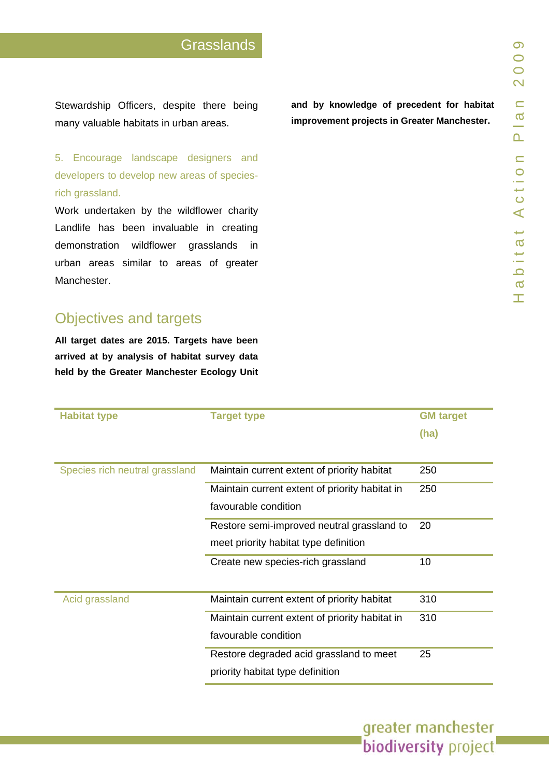Stewardship Officers, despite the re being many valuable habitats in urban are as.

5. Encourage landscape designers and developers t o develop n ew areas of speciesrich grassland.

Work undertaken by the wildflower charity Landlife has been invaluable in creatin g demonstration wildflo wer grasslands in urban areas similar to areas of greater **Manchester** 

## Objectives and targets

All target dates are 2015. Targets have been arrived at by analysis of habitat survey data held by the Greater Manchester Ecology Unit

|  | and by knowledge of precedent for habitat   |  |  |
|--|---------------------------------------------|--|--|
|  | improvement projects in Greater Manchester. |  |  |

| <b>Habitat type</b>            | <b>Target type</b>                             | <b>GM</b> target |
|--------------------------------|------------------------------------------------|------------------|
|                                |                                                | (ha)             |
|                                |                                                |                  |
| Species rich neutral grassland | Maintain current extent of priority habitat    | 250              |
|                                | Maintain current extent of priority habitat in | 250              |
|                                | favourable condition                           |                  |
|                                | Restore semi-improved neutral grassland to     | 20               |
|                                | meet priority habitat type definition          |                  |
|                                | Create new species-rich grassland              | 10               |
|                                |                                                |                  |
| Acid grassland                 | Maintain current extent of priority habitat    | 310              |
|                                | Maintain current extent of priority habitat in | 310              |
|                                | favourable condition                           |                  |
|                                | Restore degraded acid grassland to meet        | 25               |
|                                | priority habitat type definition               |                  |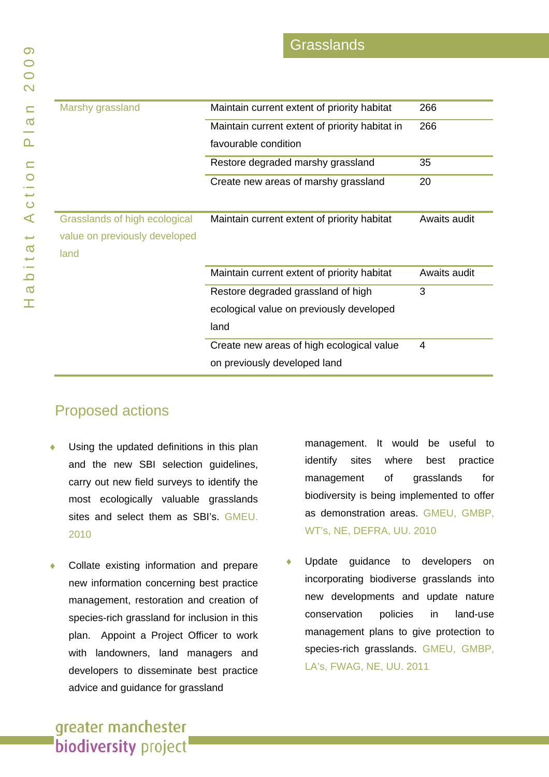| Marshy grassland              | Maintain current extent of priority habitat    | 266          |
|-------------------------------|------------------------------------------------|--------------|
|                               | Maintain current extent of priority habitat in | 266          |
|                               | favourable condition                           |              |
|                               | Restore degraded marshy grassland              | 35           |
|                               | Create new areas of marshy grassland           | 20           |
|                               |                                                |              |
| Grasslands of high ecological | Maintain current extent of priority habitat    | Awaits audit |
| value on previously developed |                                                |              |
| land                          |                                                |              |
|                               | Maintain current extent of priority habitat    | Awaits audit |
|                               | Restore degraded grassland of high             | 3            |
|                               | ecological value on previously developed       |              |
|                               | land                                           |              |
|                               | Create new areas of high ecological value      | 4            |
|                               | on previously developed land                   |              |

## Proposed actions

- Using the updated definitions in this plan and the new SBI selection guidelines, carry out new field surveys to identify the most ecologically valuable grasslands sites and select them as SBI's. GMEU. 2010
- ♦ new information concerning best practice management, restoration and creation of species-rich grassland for inclusion in this plan. Appoint a Project Officer to work with landowners, land managers and developers to disseminate best practice Collate existing information and prepare advice and guidance for grassland

management. It would be useful to identify sites where best practice management of grasslands for biodiversity is being implemented to offer as demonstration areas. GMEU, GMBP, WT's, NE, DEFRA, UU. 2010

• Update guidance to developers on incorporating biodiverse grasslands into new developments and update nature conservation policies in land-use management plans to give protection to species-rich grasslands. GMEU, GMBP, LA's, FWAG, NE, UU. 2011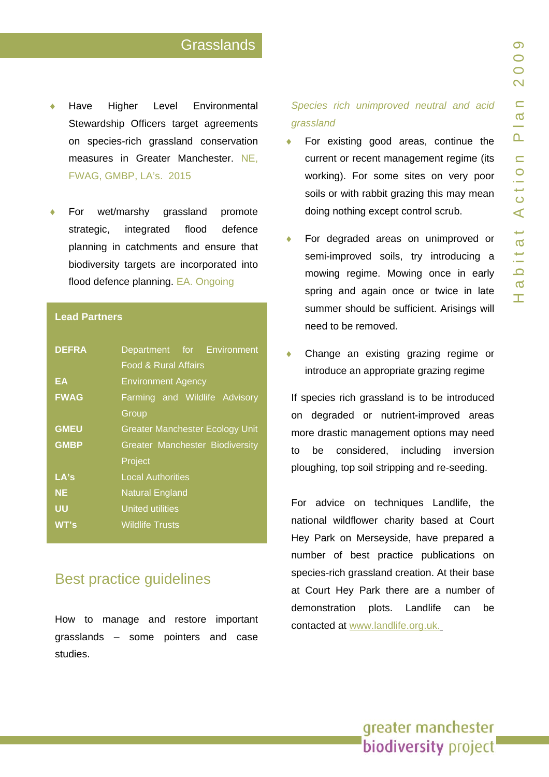- ♦ Stewardship Officers target agreements on species-rich grassland conservation Have h e r Level Environmental measures in Greater Manchester. NE, FWAG, GMBP, LA's. 2015
- ♦ flood defence planning in catchments and ensure that For wet/marshy grassland omote strategic, integrated biodiversity targets are incorporated into flood defence planning. EA. Ongoin g

| <b>Lead Partners</b> |                                                               |  |
|----------------------|---------------------------------------------------------------|--|
| <b>DEFRA</b>         | Department for Environment<br><b>Food &amp; Rural Affairs</b> |  |
| EΑ                   | <b>Environment Agency</b>                                     |  |
| <b>FWAG</b>          | Farming and Wildlife Advisory                                 |  |
|                      | Group                                                         |  |
| <b>GMEU</b>          | <b>Greater Manchester Ecology Unit</b>                        |  |
| <b>GMBP</b>          | <b>Greater Manchester Biodiversity</b>                        |  |
|                      | Project                                                       |  |
| LA's                 | <b>Local Authorities</b>                                      |  |
| <b>NE</b>            | <b>Natural England</b>                                        |  |
| บบ                   | United utilities                                              |  |
| WT's                 | <b>Wildlife Trusts</b>                                        |  |

### **Best practice quidelines**

grasslands – some pointers and case studies. How to manage and restore important

#### *Species rich unimproved neutral and acid grassland*

- ♦ For existing good areas, continue the current or recent management regime (it s soils or with rabbit grazing this may mean working). For some sit es on very poor doing nothin g except control scrub.
- ♦ mowing regime. Mowing once in early spring and again once or twice in late For degraded areas o n unimproved or semi-improved soils, t ry introducing a summer should be sufficient. Arisings will need to be r emoved.
- ♦ introduce an appropriate grazing regime<br>If species rich grassland is to be introduced Change an existing grazing regime or

on degraded or nutrient-improved areas<br>more-drastic-management-options-may-need ploughing, top soil strip ping and re-seeding.

to be considered, including inversion<br>ploughing, top-soil-stripping-and-re-seeding.<br>For advice on techniques Landlife, the<br>national wildflower charity based at Court<br>Hey-Park on Merseyside, have prepared a<br>number of best p For advice on techniques Landlife, the national wildflower charity based at Court Hey Park on Merseyside, have prepared a number of best practice publications on species-r ich grassland creation. At their base at Court Hey Park there are a number of demonstration plots. Landlife can b be contacted at [www.landlife.org.uk](http://www.landlife.org.uk/).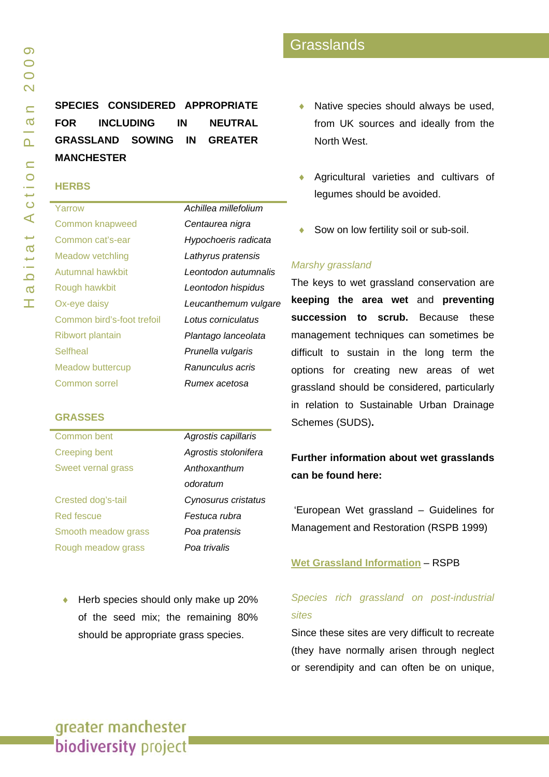## **SPECIES CONSIDERED APPROPRIATE FOR INCLUDING IN NEUTRAL RASSLAND SOWING IN GREATER G MANCHESTER**

#### **HERBS**

| Yarrow                     | Achillea millefolium |
|----------------------------|----------------------|
| <b>Common knapweed</b>     | Centaurea nigra      |
| Common cat's-ear           | Hypochoeris radicata |
| Meadow vetchling           | Lathyrus pratensis   |
| Autumnal hawkbit           | Leontodon autumnalis |
| Rough hawkbit              | Leontodon hispidus   |
| Ox-eye daisy               | Leucanthemum vulgare |
| Common bird's-foot trefoil | Lotus corniculatus   |
| <b>Ribwort plantain</b>    | Plantago lanceolata  |
| <b>Selfheal</b>            | Prunella vulgaris    |
| Meadow buttercup           | Ranunculus acris     |
| Common sorrel              | Rumex acetosa        |

#### **GRASSES**

| Common bent               | Agrostis capillaris  |
|---------------------------|----------------------|
| <b>Creeping bent</b>      | Agrostis stolonifera |
| <b>Sweet vernal grass</b> | Anthoxanthum         |
|                           | odoratum             |
| Crested dog's-tail        | Cynosurus cristatus  |
| Red fescue                | Festuca rubra        |
| Smooth meadow grass       | Poa pratensis        |
| Rough meadow grass        | Poa trivalis         |

◆ Herb species should only make up 20% of the seed mix; the remaining 80% should be appropriate grass species.

- ♦ Native species should always be used, from UK sources and ideally from the North West.
- ♦ Agricultural varieties and cultivars of legumes should be avoided.
- Sow on low fertility soil or sub-soil.

#### *Mars hy grassland*

The keys to wet grassland conservation are **k ting eeping the area wet** and **preven uccession to scrub.** Because these **s** management techniques can sometimes be difficult to sustain in the long term the options for creating new areas of wet grassland should be considered, particularly in relation to Sustainable Urban Drainage Schemes (SUDS)**.** 

**Further information about wet grasslands can be found here:** 

'European Wet grassland - Guidelines for Management and Restoration (RSPB 1999)

#### **Wet [Grassland Information](http://www.rspb.org.uk/ourwork/conservation/managingreserves/habitats/wetgrassland/index.asp) - RSPB**

#### *l Species rich grassland on post-industria ites s*

Since these sites are very difficult to recreate (they have normally arisen through neglect or serendipity and can often be on unique,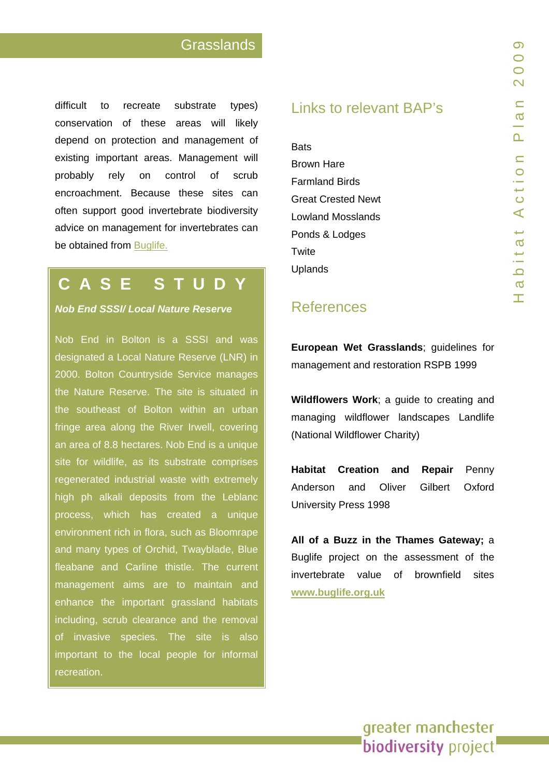difficult to recreate substrate types) conservation of these areas will likely depend on protection and management of existing important areas. Management will probably rely on control of u b encroachment. Because these sites can often support good invertebrate biodiversity advice on management for invertebrates can be obtained from **Buglife**.

# **CASE STUDY**

**Nob End SSSI/ Local Nature Reserve** 

Nob End in Bolton is a SSSI and was designated a Local Nature Reserve (LNR) in 2000. Bolton Countryside Service manages the Nature Reserve. The site is situated in the southeast of Bolton within an urban fringe area along the River Irwell, covering an area of 8.8 hectares. Nob End is a unique site for wildlife, as its substrate comprises regenerated industrial waste with extremely high ph a lkali deposits from the Leblanc process, which has created a unique environment rich in flora, such a s Blo omrape and many t ypes of Orc hid, Twayblade, Blue fleabane and Carline thistle. The current management aims are to maintain and enhance the important grassland habitats including, scrub cle arance and the removal of invasive species. The site is also important to the local people for informal recreation.

## Links to relevant BAP's

Farmland Birds onds & Lodges **Bats** [Brown Hare](www.gmbp.org.uk/site/images/stories/hares bap_09.pdf) [Great Crested Newt](www.gmbp.org.uk/site/images/stories/great crested newt bap_09.pdf)  Lowland Mosslands<br>[P](www.gmbp.org.uk/site/images/stories/ponds & lodges bap_09.pdf)onds & Lodges<br>[Twite](www.gmbp.org.uk/site/images/stories/twite bap_09.pdf) Uplands

## References

**European Wet Grasslands**; guidelines for management and restoration RSPB 1999

**Wildflowers Work**; a guide to creating and managing wildflower landscapes Landlife (National Wildflower Charity)

Penny Anderson and O liver Gilbe Gilbert Oxford **Habitat Creation and Repair** University Press 1998

All of a Buzz in the Thames Gateway; a Buglife project on the assessment of the invertebrate value of brownfield sites **<www.buglife.org.uk>**